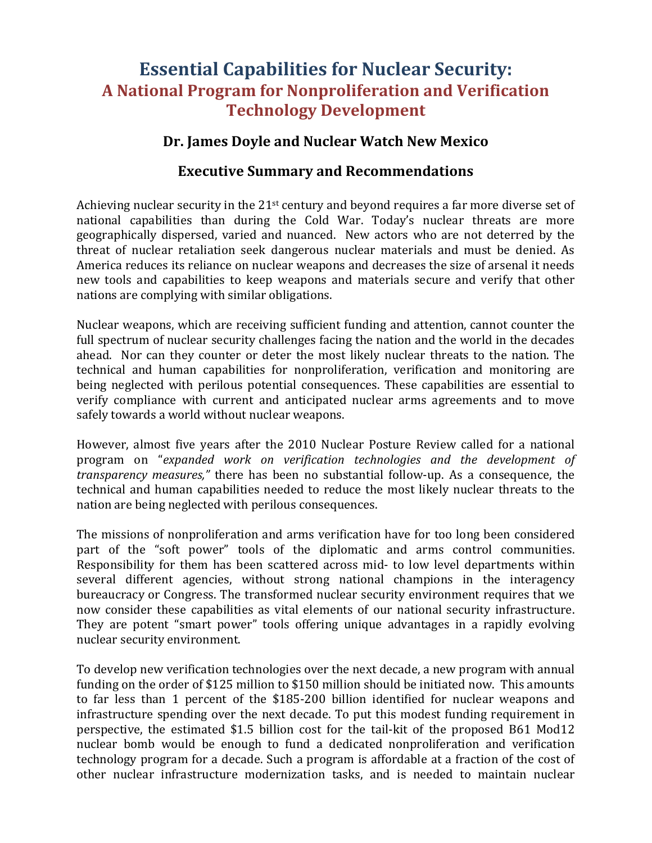## **Essential Capabilities for Nuclear Security: A National Program for Nonproliferation and Verification Technology Development**

## Dr. James Doyle and Nuclear Watch New Mexico

## **Executive Summary and Recommendations**

Achieving nuclear security in the  $21^{st}$  century and beyond requires a far more diverse set of national capabilities than during the Cold War. Today's nuclear threats are more geographically dispersed, varied and nuanced. New actors who are not deterred by the threat of nuclear retaliation seek dangerous nuclear materials and must be denied. As America reduces its reliance on nuclear weapons and decreases the size of arsenal it needs new tools and capabilities to keep weapons and materials secure and verify that other nations are complying with similar obligations.

Nuclear weapons, which are receiving sufficient funding and attention, cannot counter the full spectrum of nuclear security challenges facing the nation and the world in the decades ahead. Nor can they counter or deter the most likely nuclear threats to the nation. The technical and human capabilities for nonproliferation, verification and monitoring are being neglected with perilous potential consequences. These capabilities are essential to verify compliance with current and anticipated nuclear arms agreements and to move safely towards a world without nuclear weapons.

However, almost five years after the 2010 Nuclear Posture Review called for a national program on "*expanded work on verification technologies and the development of transparency measures,*" there has been no substantial follow-up. As a consequence, the technical and human capabilities needed to reduce the most likely nuclear threats to the nation are being neglected with perilous consequences.

The missions of nonproliferation and arms verification have for too long been considered part of the "soft power" tools of the diplomatic and arms control communities. Responsibility for them has been scattered across mid- to low level departments within several different agencies, without strong national champions in the interagency bureaucracy or Congress. The transformed nuclear security environment requires that we now consider these capabilities as vital elements of our national security infrastructure. They are potent "smart power" tools offering unique advantages in a rapidly evolving nuclear security environment.

To develop new verification technologies over the next decade, a new program with annual funding on the order of \$125 million to \$150 million should be initiated now. This amounts to far less than 1 percent of the \$185-200 billion identified for nuclear weapons and infrastructure spending over the next decade. To put this modest funding requirement in perspective, the estimated \$1.5 billion cost for the tail-kit of the proposed B61 Mod12 nuclear bomb would be enough to fund a dedicated nonproliferation and verification technology program for a decade. Such a program is affordable at a fraction of the cost of other nuclear infrastructure modernization tasks, and is needed to maintain nuclear